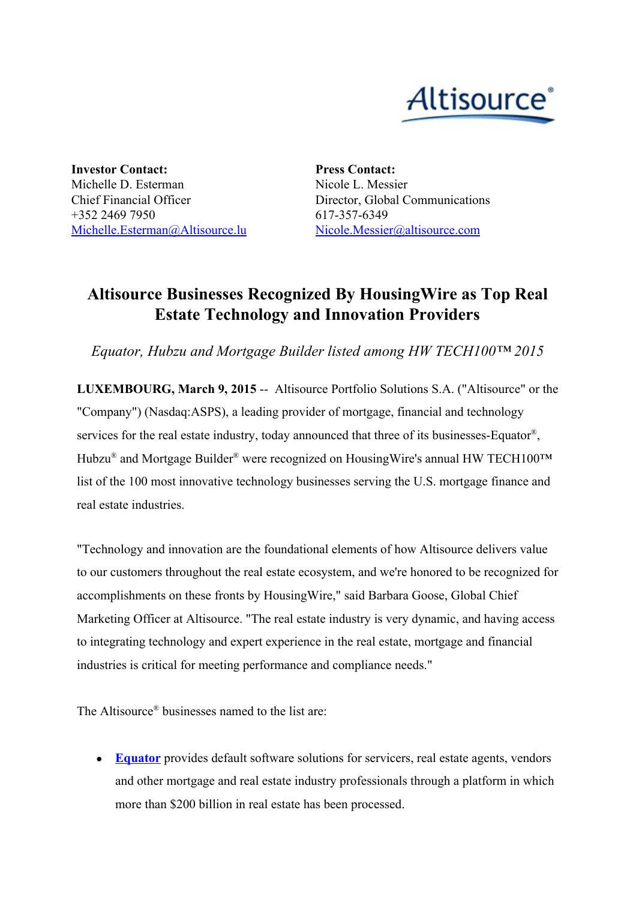

**Investor Contact:** Michelle D. Esterman Chief Financial Officer +352 2469 7950 [Michelle.Esterman@Altisource.lu](mailto:Michelle.Esterman@Altisource.lu) **Press Contact:** Nicole L. Messier Director, Global Communications 617-357-6349 [Nicole.Messier@altisource.com](mailto:Nicole.Messier@altisource.com)

## **Altisource Businesses Recognized By HousingWire as Top Real Estate Technology and Innovation Providers**

*Equator, Hubzu and Mortgage Builder listed among HW TECH100™ 2015*

**LUXEMBOURG, March 9, 2015** -- Altisource Portfolio Solutions S.A. ("Altisource" or the "Company") (Nasdaq:ASPS), a leading provider of mortgage, financial and technology services for the real estate industry, today announced that three of its businesses-Equator<sup>®</sup>, Hubzu® and Mortgage Builder® were recognized on HousingWire's annual HW TECH100™ list of the 100 most innovative technology businesses serving the U.S. mortgage finance and real estate industries.

"Technology and innovation are the foundational elements of how Altisource delivers value to our customers throughout the real estate ecosystem, and we're honored to be recognized for accomplishments on these fronts by HousingWire," said Barbara Goose, Global Chief Marketing Officer at Altisource. "The real estate industry is very dynamic, and having access to integrating technology and expert experience in the real estate, mortgage and financial industries is critical for meeting performance and compliance needs."

The Altisource ® businesses named to the list are:

• **[Equator](http://cts.businesswire.com/ct/CT?id=smartlink&url=http%3A%2F%2Fwww.equator.com&esheet=51054412&newsitemid=20150309005162&lan=en-US&anchor=Equator&index=1&md5=418a665be8514b6afe05dfaf3d65052d)** provides default software solutions for servicers, real estate agents, vendors and other mortgage and real estate industry professionals through a platform in which more than \$200 billion in real estate has been processed.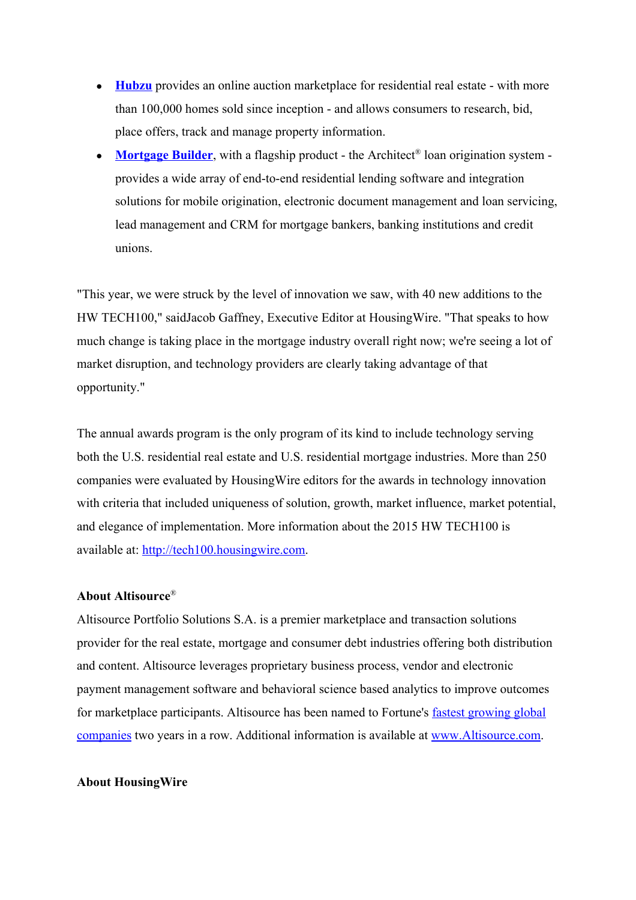- **[Hubzu](http://cts.businesswire.com/ct/CT?id=smartlink&url=http%3A%2F%2Fwww.hubzu.com&esheet=51054412&newsitemid=20150309005162&lan=en-US&anchor=Hubzu&index=2&md5=a22fa942f4af64d0df3e3eea3eef9b69)** provides an online auction marketplace for residential real estate with more than 100,000 homes sold since inception - and allows consumers to research, bid, place offers, track and manage property information.
- [Mortgage](http://cts.businesswire.com/ct/CT?id=smartlink&url=http%3A%2F%2Fwww.mortgagebuilder.com%2F&esheet=51054412&newsitemid=20150309005162&lan=en-US&anchor=Mortgage+Builder&index=3&md5=aba2ef6f5886934bd57f2400de13928d) Builder, with a flagship product the Architect<sup>®</sup> loan origination system provides a wide array of end-to-end residential lending software and integration solutions for mobile origination, electronic document management and loan servicing, lead management and CRM for mortgage bankers, banking institutions and credit unions.

"This year, we were struck by the level of innovation we saw, with 40 new additions to the HW TECH100," saidJacob Gaffney, Executive Editor at HousingWire. "That speaks to how much change is taking place in the mortgage industry overall right now; we're seeing a lot of market disruption, and technology providers are clearly taking advantage of that opportunity."

The annual awards program is the only program of its kind to include technology serving both the U.S. residential real estate and U.S. residential mortgage industries. More than 250 companies were evaluated by HousingWire editors for the awards in technology innovation with criteria that included uniqueness of solution, growth, market influence, market potential, and elegance of implementation. More information about the 2015 HW TECH100 is available at: [http://tech100.housingwire.com.](http://cts.businesswire.com/ct/CT?id=smartlink&url=http%3A%2F%2Ftech100.housingwire.com&esheet=51054412&newsitemid=20150309005162&lan=en-US&anchor=http%3A%2F%2Ftech100.housingwire.com&index=4&md5=7af5772ac96f3da281c378c055fd80d2)

## **About Altisource**®

Altisource Portfolio Solutions S.A. is a premier marketplace and transaction solutions provider for the real estate, mortgage and consumer debt industries offering both distribution and content. Altisource leverages proprietary business process, vendor and electronic payment management software and behavioral science based analytics to improve outcomes for marketplace participants. Altisource has been named to Fortune's fastest [growing](http://cts.businesswire.com/ct/CT?id=smartlink&url=http%3A%2F%2Ffortune.com%2F100-fastest-growing-companies%2Faltisource-portfolio-solutions-26%2F&esheet=51054412&newsitemid=20150309005162&lan=en-US&anchor=fastest+growing+global+companies&index=5&md5=f5cd2dca36602013a86a81ba46154bc9) global [companies](http://cts.businesswire.com/ct/CT?id=smartlink&url=http%3A%2F%2Ffortune.com%2F100-fastest-growing-companies%2Faltisource-portfolio-solutions-26%2F&esheet=51054412&newsitemid=20150309005162&lan=en-US&anchor=fastest+growing+global+companies&index=5&md5=f5cd2dca36602013a86a81ba46154bc9) two years in a row. Additional information is available at [www.Altisource.com.](http://cts.businesswire.com/ct/CT?id=smartlink&url=http%3A%2F%2Fwww.Altisource.com&esheet=51054412&newsitemid=20150309005162&lan=en-US&anchor=www.Altisource.com&index=6&md5=667f5fd3d5dc502a8c4aebf03a1365e2)

## **About HousingWire**